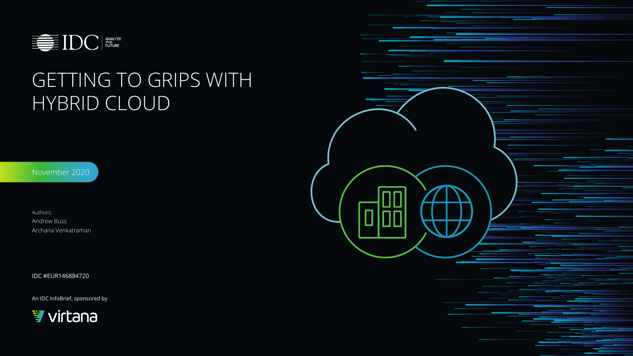



# GETTING TO GRIPS WITH HYBRID CLOUD

An IDC InfoBrief, sponsored by



November 2020

Authors: Andrew Buss Archana Venkatraman

IDC #EUR146884720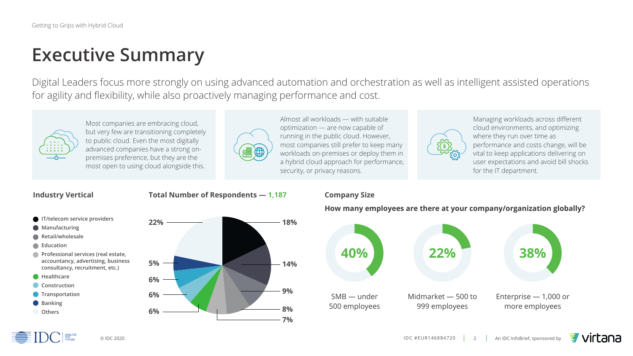



# **Executive Summary**

Most companies are embracing cloud, but very few are transitioning completely to public cloud. Even the most digitally advanced companies have a strong onpremises preference, but they are the most open to using cloud alongside this.



Almost all workloads — with suitable optimization — are now capable of running in the public cloud. However, most companies still prefer to keep many workloads on-premises or deploy them in a hybrid cloud approach for performance, security, or privacy reasons.



Managing workloads across different cloud environments, and optimizing where they run over time as performance and costs change, will be vital to keep applications delivering on user expectations and avoid bill shocks for the IT department.

# Digital Leaders focus more strongly on using advanced automation and orchestration as well as intelligent assisted operations

for agility and flexibility, while also proactively managing performance and cost.







### **How many employees are there at your company/organization globally?**



- **IT/telecom service providers Manufacturing Retail/wholesale Education**
- **Professional services (real estate, accountancy, advertising, business consultancy, recruitment, etc.)**
- **Healthcare**
- **Construction**
- **Transportation**
- **Banking**
- **Others**

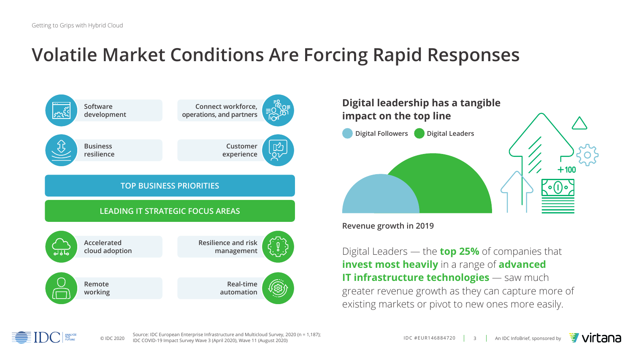Source: IDC European Enterprise Infrastructure and Multicloud Survey, 2020 (n = 1,187);<br>
© IDC #EUR146884720  $\begin{vmatrix} 3 & 1 \\ 0 & \end{vmatrix}$  An IDC InfoBrief, sponsored by IDC COVID-19 Impact Survey Wave 3 (April 2020), Wave 11 (August 2020)

# **Volatile Market Conditions Are Forcing Rapid Responses**

# **Digital leadership has a tangible impact on the top line**

**Digital Followers Digital Leaders** 

**Revenue growth in 2019**

Digital Leaders — the **top 25%** of companies that **invest most heavily** in a range of **advanced IT infrastructure technologies** — saw much greater revenue growth as they can capture more of existing markets or pivot to new ones more easily.







**E** virtana



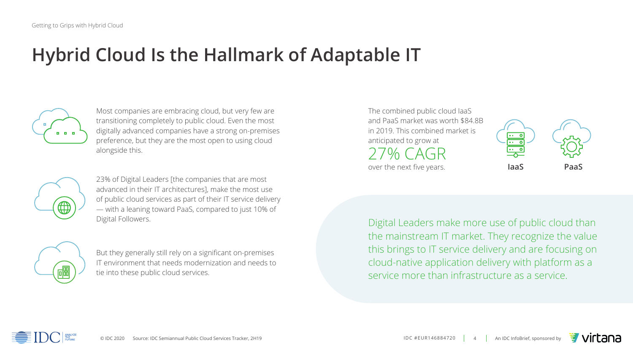



# **Hybrid Cloud Is the Hallmark of Adaptable IT**



Digital Leaders make more use of public cloud than the mainstream IT market. They recognize the value this brings to IT service delivery and are focusing on cloud-native application delivery with platform as a service more than infrastructure as a service.

But they generally still rely on a significant on-premises IT environment that needs modernization and needs to tie into these public cloud services.



The combined public cloud IaaS and PaaS market was worth \$84.8B in 2019. This combined market is anticipated to grow at  $20<sub>0</sub>$ 

23% of Digital Leaders [the companies that are most advanced in their IT architectures], make the most use of public cloud services as part of their IT service delivery — with a leaning toward PaaS, compared to just 10% of Digital Followers.



Most companies are embracing cloud, but very few are transitioning completely to public cloud. Even the most digitally advanced companies have a strong on-premises preference, but they are the most open to using cloud alongside this.



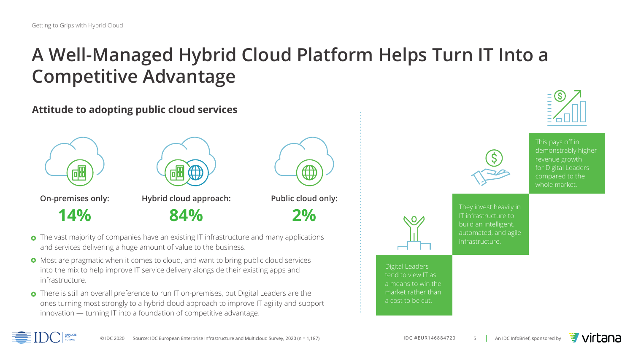# **A Well-Managed Hybrid Cloud Platform Helps Turn IT Into a Competitive Advantage**

- **•** The vast majority of companies have an existing IT infrastructure and many applications and services delivering a huge amount of value to the business.
- Most are pragmatic when it comes to cloud, and want to bring public cloud services into the mix to help improve IT service delivery alongside their existing apps and infrastructure.
- There is still an overall preference to run IT on-premises, but Digital Leaders are the ones turning most strongly to a hybrid cloud approach to improve IT agility and support innovation — turning IT into a foundation of competitive advantage.





# **Attitude to adopting public cloud services**



Digital Leaders tend to view IT as a means to win the market rather than a cost to be cut.





This pays off in demonstrably higher revenue growth for Digital Leaders compared to the whole market.



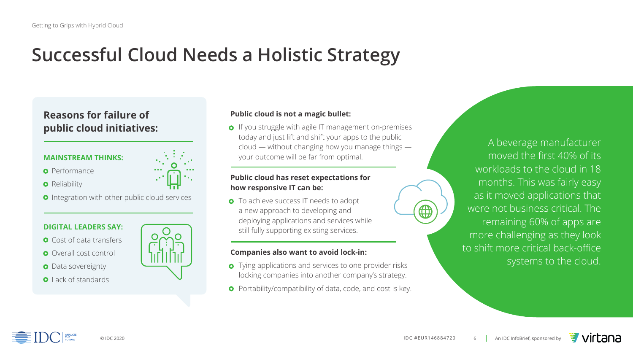# **Successful Cloud Needs a Holistic Strategy**

A beverage manufacturer moved the first 40% of its workloads to the cloud in 18 months. This was fairly easy as it moved applications that were not business critical. The remaining 60% of apps are more challenging as they look to shift more critical back-office systems to the cloud.



**•** If you struggle with agile IT management on-premises today and just lift and shift your apps to the public cloud — without changing how you manage things your outcome will be far from optimal.

0

# **Reasons for failure of public cloud initiatives:**

**•** Tying applications and services to one provider risks locking companies into another company's strategy. • Portability/compatibility of data, code, and cost is key.

### **Public cloud is not a magic bullet:**

**•** To achieve success IT needs to adopt a new approach to developing and

# **Companies also want to avoid lock-in:**

- 
- 



### **MAINSTREAM THINKS:**

- **•** Performance
- **•** Reliability
- **•** Integration with other public cloud services

### **DIGITAL LEADERS SAY:**

- **•** Cost of data transfers
- **•** Overall cost control
- **•** Data sovereignty
- **•** Lack of standards



### **Public cloud has reset expectations for how responsive IT can be:**

deploying applications and services while still fully supporting existing services.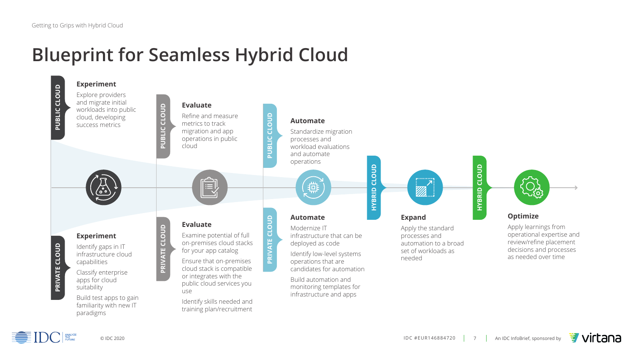



# **Blueprint for Seamless Hybrid Cloud**

- Standardize migration workload evaluations
	-

### **Expand**

Apply the standard processes and automation to a broad set of workloads as needed

CLOUD **HYBRID CLOUD**  HYBRID



### **Optimize**

Apply learnings from operational expertise and review/refine placement decisions and processes as needed over time

# **HYBRID CLOUD HYBRID CLOUD**



**EXAMPLE TO CURE THE SOLUTION POINT OF THE SAMPLE TO BE SET ON A PARTIES** 

- infrastructure that can be deployed as code
- Identify low-level systems operations that are candidates for automation
- Build automation and monitoring templates for infrastructure and apps

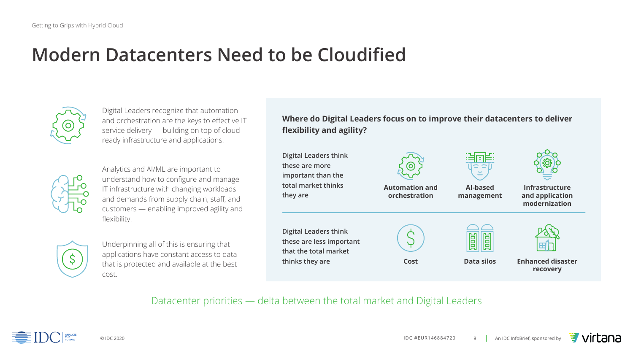



# **Modern Datacenters Need to be Cloudified**



Datacenter priorities — delta between the total market and Digital Leaders

Analytics and AI/ML are important to understand how to configure and manage IT infrastructure with changing workloads and demands from supply chain, staff, and customers — enabling improved agility and flexibility.



Digital Leaders recognize that automation and orchestration are the keys to effective IT service delivery — building on top of cloudready infrastructure and applications.



Underpinning all of this is ensuring that applications have constant access to data that is protected and available at the best cost.

**Digit** thes **import** total they

**Digit** thes that think



**Where do Digital Leaders focus on to improve their datacenters to deliver flexibility and agility?** 

| al Leaders think<br>e are more<br>ortant than the<br><b>I</b> market thinks<br>are | <b>Automation and</b><br>orchestration | <b>Al-based</b><br>management | <b>Infrastructure</b><br>and application<br>modernization |
|------------------------------------------------------------------------------------|----------------------------------------|-------------------------------|-----------------------------------------------------------|
| al Leaders think<br>e are less important<br>the total market<br>ks they are        | <b>Cost</b>                            | $\Box$<br><b>Data silos</b>   | <b>Enhanced disaster</b><br>recovery                      |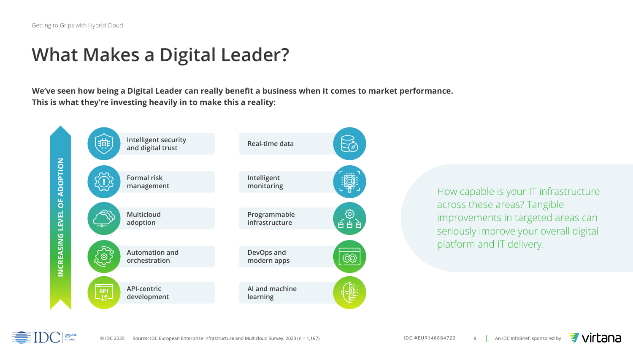# **What Makes a Digital Leader?**

How capable is your IT infrastructure across these areas? Tangible improvements in targeted areas can seriously improve your overall digital platform and IT delivery.







**We've seen how being a Digital Leader can really benefit a business when it comes to market performance. This is what they're investing heavily in to make this a reality:**



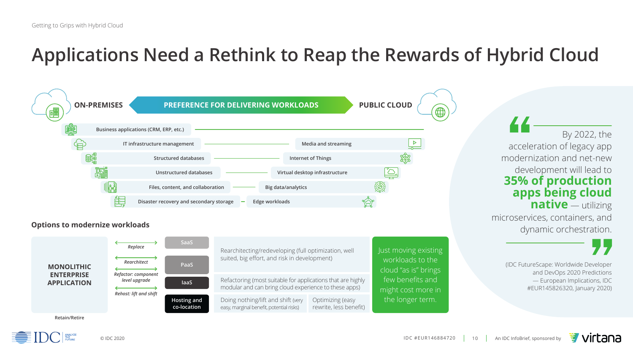





**Example 3** 

# **Applications Need a Rethink to Reap the Rewards of Hybrid Cloud**

(IDC FutureScape: Worldwide Developer and DevOps 2020 Predictions — European Implications, IDC #EUR145826320, January 2020)



### **Options to modernize workloads**

Just moving existing workloads to the cloud "as is" brings few benefits and might cost more in the longer term.





Optimizing (easy rewrite, less benefit)



By 2022, the acceleration of legacy app modernization and net-new development will lead to **35% of production apps being cloud native** — utilizing

microservices, containers, and dynamic orchestration.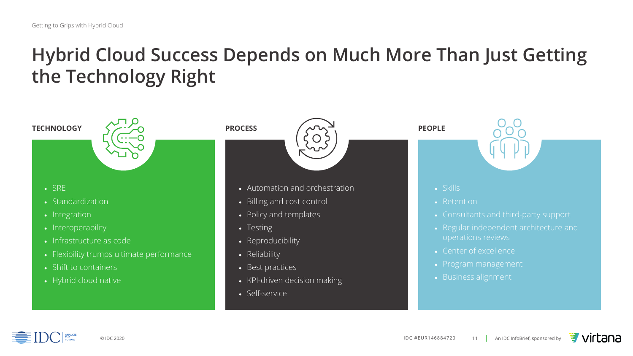# **Hybrid Cloud Success Depends on Much More Than Just Getting the Technology Right**

# • SRE

- Standardization
- Integration
- Interoperability
- Infrastructure as code
- Flexibility trumps ultimate performance
- Shift to containers
- Hybrid cloud native

# TECHNOLOGY *CONTROLS* PROCESS **AND PEOPLE**

- Automation and orchestration
- Billing and cost control
- Policy and templates
- Testing
- Reproducibility
- Reliability
- Best practices
- KPI-driven decision making
- Self-service







- Retention
- Consultants and third-party support
- Regular independent architecture and operations reviews
- Center of excellence
- Program management
- Business alignment

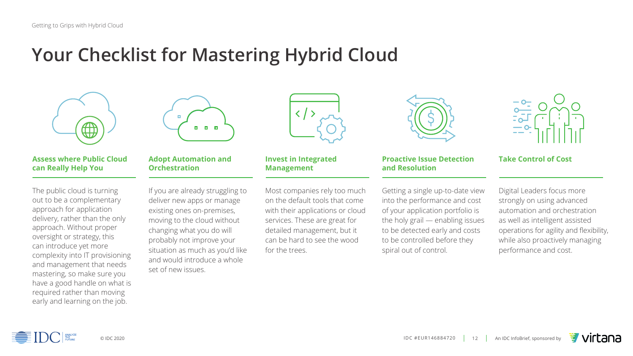



# **Your Checklist for Mastering Hybrid Cloud**



The public cloud is turning out to be a complementary approach for application delivery, rather than the only approach. Without proper oversight or strategy, this can introduce yet more complexity into IT provisioning and management that needs mastering, so make sure you have a good handle on what is required rather than moving early and learning on the job.



If you are already struggling to deliver new apps or manage existing ones on-premises, moving to the cloud without changing what you do will probably not improve your situation as much as you'd like and would introduce a whole set of new issues.



Most companies rely too much on the default tools that come with their applications or cloud services. These are great for detailed management, but it can be hard to see the wood for the trees.







Getting a single up-to-date view into the performance and cost of your application portfolio is the holy grail — enabling issues to be detected early and costs to be controlled before they spiral out of control.

Digital Leaders focus more strongly on using advanced automation and orchestration as well as intelligent assisted operations for agility and flexibility, while also proactively managing performance and cost.



### **Assess where Public Cloud can Really Help You**

### **Adopt Automation and Orchestration**

### **Invest in Integrated Management**

### **Proactive Issue Detection and Resolution**

### **Take Control of Cost**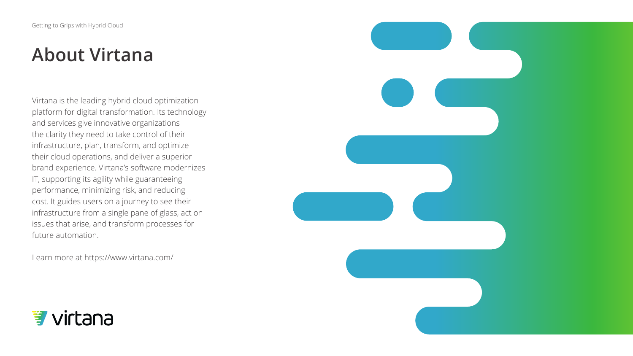# **About Virtana**

Virtana is the leading hybrid cloud optimization platform for digital transformation. Its technology and services give innovative organizations the clarity they need to take control of their infrastructure, plan, transform, and optimize their cloud operations, and deliver a superior brand experience. Virtana's software modernizes IT, supporting its agility while guaranteeing performance, minimizing risk, and reducing cost. It guides users on a journey to see their infrastructure from a single pane of glass, act on issues that arise, and transform processes for future automation.

Learn more at https://www.virtana.com/